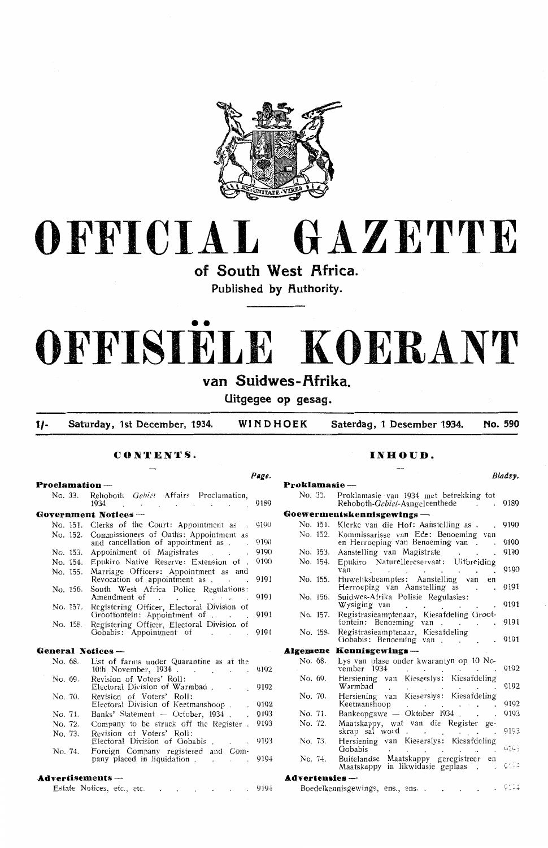

# **OFFICIAL GAZETTE**

**of South West Africa.**  Published by Authority.

# •• **OFFISIELE KOERANT**

# **van Suidwes-f\frika.**

**Ultgegee op gesag.** 

**t/- Saturday, 1st December, 1934. WINDHOEK Saterdag, 1 Desember 1934. No. 590** 

**CONTENTS.** 

#### Page. **Proclamation** - No. 33. Rehoboth *Gebiet* Affairs Proclamation, 1934 9189 1934  $\mathbf{r}$  and  $\mathbf{r}$  $\overline{\phantom{a}}$ **Government Notices** - No. 151. Clerks of the Court: Appointment as .<br>No. 152. Commissioners of Oaths: Appointment as 9190 No. 152. Commissioners of Oath's: Appointment as and cancellation of appointment as . 9190 9190 No. 153. Appointment of Magistrates No. 154. Epukiro Native Reserve: Extension of 9190 No. 155. Marriage Officers: Appointment as and Revocation of appointment as . 9191  $\mathbf{r}$  . No. 156. South West Africa Police Regulations: Amendment of 9191 No. 157. Registering Officer, Electoral Division of 9191 Grootfontein: Appointment of . . No. 158. Registering Officer, Electoral Division of 9191 Oobabis: Appointment of **General Notices** - No. 68. List of farms under Quarantine as at the 10th November, 1934 . 9192 **Contractor**  $\sim 10$ No. 69. Revision of Voters' Roll: Electoral Division of Warmbad . 9192 Ne. 70. Revision of Voters' Roll: 9192 Electoral Division of Keetmanshoop Banks' Statement - October, 1934 . No. 71. 9193 No. 72. Company to be struck off the Register. 9193 No. 73. Revision of Voters' Roll: 919'3 Electoral Division of Oobabis

No. 74. foreign Company registered and Company placed in liquidation . 919.J.

#### **Advertisements** -

|  | Estate Notices, etc., etc. |  |  |  |  |  |  |  |  | . 9194 |
|--|----------------------------|--|--|--|--|--|--|--|--|--------|
|--|----------------------------|--|--|--|--|--|--|--|--|--------|

#### **INHOUD.**

|                 |                                                                                                    | Bladsy. |
|-----------------|----------------------------------------------------------------------------------------------------|---------|
| Proklamasie --- |                                                                                                    |         |
| No. 33.         | Proklamasie van 1934 met betrekking tot<br>Rehoboth-Gebiet-Aangeleenthede                          | 9189    |
|                 | Goewermentskennisgewings —                                                                         |         |
| No. 151.        | Klerke van die Hof: Aanstelling as.<br>L.                                                          | 9190    |
| No. 152.        | Kommissarisse van Ede: Benoeming<br>van<br>en Herroeping van Benoeming van                         | 9190    |
| No. 153.        | Aanstelling van Magistrate<br>$\ddot{\phantom{a}}$                                                 | 9190    |
| No. 154.        | Epukiro Naturellereservaat: Uitbreiding<br>van                                                     | 9190    |
| No. 155.        | Huweliksbeamptes: Aanstelling van<br>en<br>Herroeping van Aanstelling as                           | 9191    |
| No. 156.        | Suidwes-Afrika Polisie Regulasies:<br>Wysiging van                                                 | 9191    |
| No. 157.        | Registrasieamptenaar, Kiesafdeling Groot-<br>fontein: Benoeming van<br>$\sim$                      | 9191    |
| No. 158.        | Registrasieamptenaar, Kiesafdeling<br>Gobabis: Benoeming van                                       | 9191    |
| Algemene        | Kennisgewings —                                                                                    |         |
|                 |                                                                                                    |         |
| No. 68.         | Lys van plase onder kwarantyn op 10 No-<br>vember 1934                                             | 9192    |
| No. 69.         | Hersiening van Kieserslys: Kiesafdeling<br>Warmbad <sup>-</sup>                                    | 9192    |
| No. 70.         | Kieserslys: Kiesafdeling<br>Hersiening van                                                         |         |
|                 | Keetmanshoop<br>$\alpha$ , $\alpha$ , $\alpha$                                                     | 9192    |
| No. 71.         | Bankeopgawe — Oktober 1934.                                                                        | 9193    |
| No. 72.         | Maatskappy, wat van die Register ge-<br>skrap sal word<br>$\ddot{\phantom{a}}$                     | 9193    |
| No. 73.         | Hersiening van Kieserslys: Kiesafdeling<br>Gobabis                                                 | 9195    |
| No. 74.         | Buitelandse Maatskappy geregistreer en<br>Maatskappy in likwidasie geplaas<br>$\ddot{\phantom{a}}$ | 9194    |
| Advertensies -  |                                                                                                    |         |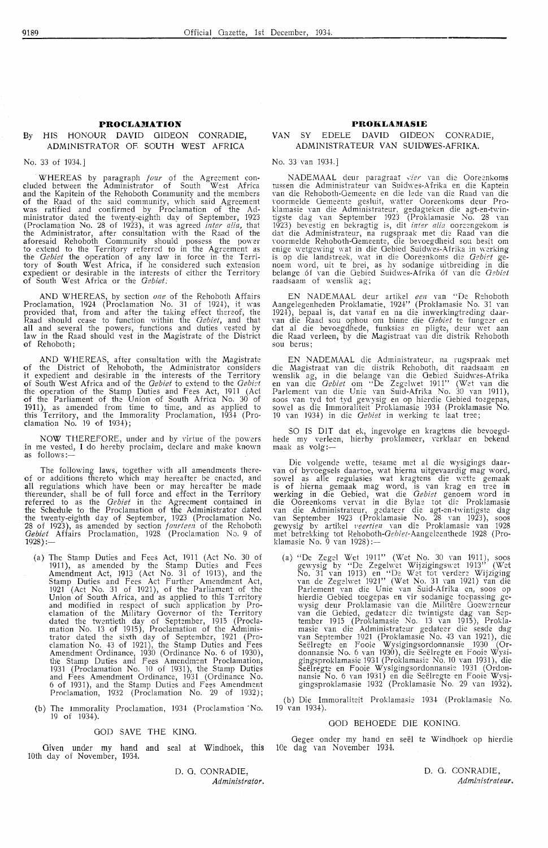#### **By IiIS HONOUR DAVID GIDEON CONRADIE,**  ADMINISTRATOR OF SOUTH WEST AFRICA

#### No. 33 of 1934.]

WHEREAS by paragraph *four* of the Agreement concluded between the Administrator of South West Africa and the Kapitein of the Rehoboth Community and the members of the Raad of the said community, which said Agreement was ratified and confirmed by Proclamation of the Administrator dated the twenty-eighth day of September, 1923 (Proclamation No. 28 of 1923), it was agreed *inter alia,* that the Administrator, after consultation with the Raad of the aforesaid Rehoboth Community should possess the power to extend to the Territory referred to in the Agreement as the *Gebiet* the operation of any law in force in the Territory of £outh West Africa, if he considered such extension expedient or desirable in the interests of either the Territory of South West Africa or the *Gebiet*;

**AND** WHEREAS, by section *one* of the Rehoboth Affairs Proclamation, 1924 (Proclamation No. 31 of 1924), it was provided that, from and after the taking effect there0f, the Raad should cease to function within the *Gebiet*, and that all and several the powers, functions and duties vested by law in the Raad should vest in the Magistrate of the District of Rehoboth;

AND WHEREAS, after consultation with the Magistrate of the District of Rehoboth, the Administrator considers it expedient and desirable in the interests of the Territory of South West Africa and of the *Oebiet* to extend to the *Oebict*  the operation of the Stamp Duties and Fees Act, 1911 (Act of the Parliament of the Union of South Africa No. 30 of 1911 ), as amended from time to time, and as applied to this Territory, and the Immorality Proclamation, 1934 (Proclamation No. 19 of 1934);

NOW THEREFORE, under and by virtue of the powers in me vested, I do hereby proclaim, declare and make known as follows:-

The following laws, together with all amendments thereof or additions thereto which may hereafter be enacted, and all regulations which have been or may hereafter be made thereunder, shall be of full force and effect in the Territory referred to as the *Gebiet* in the Agreement contained in the Schedule to the Proclamation of the Administrator dated the twenty-eighth day of September, 1923 (Proclamation No. 28 of 1923), as amended by section *fourteen* of the Rehoboth Gebiet Affairs Proclamation, 1928 (Proclamation No. 9 of 1928).

- (a) The Stamp Duties and Fees Act, 1911 (Act No. 30 of 1911), as amended by the Stamp Duties and Fees Amendment Act, 1913 (Act No. 31 of 1913), and the Stamp Duties and Fees Act Further Amendment Act, 1921 (Act No. 31 of 1921), of the Parliament of the Union of South Africa, and as applied to this Territory and modified in 1:espect of such application by Proclamation of the Military Governor of the Territory dated the twentieth day of September, 1915 (Proclamation No. 13 of 1915), Proclamation of the Administrator dated the sixth day of September, 1921 (Proclamation No. 43 of 1921), the Stamp Duties and Fees Amendment Ordinance, 1930 (Ordinance No. 6 of 1930), the Stamp Duties and Fees Amendment Proclamation, 1931 (Proclamation No. 10 of 1931), the Stamp Duties and Fees Amendment Ordinance, 1931 (Ordinance No. 6 of 1931), and the Stamp Duties and Fees Amendment Proclamation, 1932 (Proclamation No. 29 of 1932);
- (b) The Immorality Proclamation, 1934 (Proclamation "No. 19 of 1934).

#### GOD SAVE THE KING.

Given under my hand and seal at Windhoek, this 10th day of November, 1934.

> D. 0. CONRADIE, *Administrator.*

#### **PROKLAMASIE**

#### VAN SY EDELE DAVID GIDEON CONRADIE, ADMINISTRA TEUR **VAN** SUIDWES-AFRIKA.

No. 33 van 1934.]

NADEMAAL deur paragraai vier van die Ooreenkoms tussen die Administrateur van Suidwes-Afrika en die Kaptein van die Rehoboth-Gemeente en die lede van die Raad van die voormelde Oemeente gesluit, watter Ooreenkoms deur Proklamasie van die Administrateur, gedagteken die agt-en-twintigste dag van September 1923 (Proklamasie No. 28 van 1923) bevestig en bekragtig is, dit *inter alia* ooreengekom is dat die Administrateur, na rugspraak met die Raad van die voormelde Rehoboth-Gemeente, die bevoegdheid sou besit om<br>enige wetgewing wat in die Gebied Suidwes-Afrika in werking is op die landstreek, wat in die Ooreenkoms die *Gebiet* genoem word, uit te brei, as hy sodanige uitbreiding in die belange óf van die Gebied Suidwes-Afrika óf van die *Gebiet* raadsaam of wenslik ag;

EN NADEMAAL deur artikel *een* van ''De Rehoboth Aangelegenheden Proklamatie, 1924" (Proklamasie No. 31 van 1924), bepaal is, dat vanaf en na die inwerkingtrcding daar- van die Raad sou ophou om binne die *Oebiet* te fung::er en clat al die bevoegdhede, funksies en pligte, deur wet aan die Raad verleen, by die Magistraat van die distrik Rehoboth sou berus;

EN NADEMAAL die Administrateur, na rugspraak met die Magistraat van die distrik Rehoboth, dit raadsaam en wenslik ag, in die belange van die Gebied Suidwes-Afrika<br>en van die *Gebiet* om ''De Zegelwet 1911'' (Wet van die Parlement van die Unie van Suid-Afrika No. 30 van 1911), soos van tyd tot tyd gewysig en op hierdie Gebied toegepas, sowel as die Immoraliteit Proklamasie 1934 (Proklamasie No. 19 van 1934) in die *Oebiet* in werking te laat tree;

SO IS DIT dat ek, ingevolge en kragtens die bevoegdhede my verleen, hierby proklameer, verklaar en bekend<br>maak as volg:—

Die volgende wette, tesame met al die wysigings daar-van of byvoegsels daartoe, wat Merna uitgevaardig mag word, sowel as alle regulasies wat kragtens die wette gemaak<br>is of hierna gemaak mag word, is van krag en tree in werking in die Oebied, wat die *Oebiet* genoem word in die Ooreenkoms vervat in die Bylae tot die Proklamasie<br>van die Administrateur, gedateer die agt-en-twintigste dag van September 1923 (Proklamasie No. 28 van 1923), soos gewysig by artikel *Feertie1z* van die Proklamasie van 1928 met betrekking tot Rehoboth-*Gebiet*-Aangeleenthede 1928 (Pro-<br>klamasie No. 9 van 1928):—

(a) "De Zegel Wet 1911" (Wet No. 30 van 1911), soos gewysig by "De Zegelwet Wijzigingswet 1913" (Wet No. 31 van 1913) en "De Wet tot verdere Wijziging van de Zegelwet 1921" (Wet No. 31 van 1921) van die Parlement van die Unie van Suid-Afrika en, soos op hierdie Oebied toegepas en vir sodanige toepassing gewysig deur Proklamasie van die Militere Goewerneur van die Gebied, gedateer die twintigste dag van September 1915 (Proklamasie No. 13 van 1915), Proklamasie van die Administrateur gedateer die sesde dag van September 1921 (Proklamasie No. 43 van 1921), die Seelregte en Fooie Wysigingsordonnansie 1930 (Ordonnansie No. 6 van 1930), die Seëlregte en Fooie Wysigingsproklamasie 1931 (Proklamasie No. 10 van 1931), die Seelregte en Fooie Wysigingsordonnansie 1931 (Ordonnansie No. 6 van 1931) en die Seelregte en Fooie Wysigingsproklamasie 1932 (Proklamasie No. 29 van 1932).

(b) Die Immoraliteit Proklamasie 1934 (Proklamasie No. 19 van 1934).

#### GOD BEHOEDE DIE KONING.

Oegee onder my hand en seel te Windhoek op hierdie 10e dag van November 1934.

> D. 0. CONRADIE, *Admi:zistraieur.*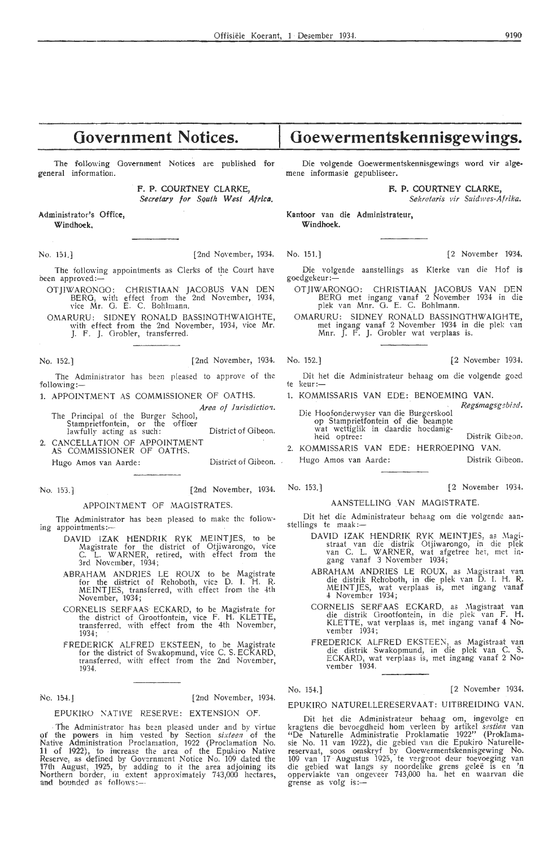# **Government Notices.**

The following Government Notices are published for general information.

> F. P. COURTNEY CLARKE, *Secretary for Squth West Africa.*

Administrator's Office, Windhoek,

No. 151.) [2nd November, 1934. No. 151.] [2 November 1934.

The following appointments as Clerks of the Court have heen approved:-

- OTJIWARONOO: CH.RISTIAAN JACOBUS VAN DEN BERG, with effect from the 2nd November, 1934, vice Mr. 0. E. C. Bohlmann.
- O.MARURU: SIDNEY RONALD BASSINOTHWAIOHTE, with effect from the 2nd November, 1934, vice Mr. *].* F. J. Orobl\_er, transferred.

No. 152.] [2nd November, 1934. No. 152.] [2 November 1934.

The Administrator has been pleased to approve of the foilowing :-

- 1. APPOINTMENT AS COMMISSIONER OF OATHS.
	- Area of Jurisdiction. The Principal of the Burger School,<br>Stamprietfontein, or the officer
- Stamprietfontein, or the officer<br>lawfully acting as such: District of Gibeon. 2. CANCELLATION OF APPOINTMENT
- AS COMMISSIONER OF OATHS. Hugo Amos van Aarde: District of Gibeon. . Hugo Amos van Aarde: Distrik Gibeon.
- 

#### APPOINTMENT OF MAO!STRATES.

The Administrator has been pleased to make the following appointments:-

- DA VID IZAK HENDRIK RYK MEINTJES, to be Magistrate for the district of Otjiwarongo, vice C. L. WARNER, retired, with effect from the 3rd November, 1934;
- ABRAHAM ANDRIES LE ROUX to be Magistrate for the district of Rehoboth, Yice D. I. H. R. ME INT JES, transferred, with effect from the 4th November, 1934;
- CORNELIS SERF AAS ECKARD, to be Magistrate for the district of Grootfontein, vice F. H. KLETTE, transferred, with effect from the 4th November, 1934 ;
- FREDERICK ALFRED EKSTEEN, to be Magistrate for the district of Swakopmund, vice C. S. ECKARD, transferred, with effect from the 2nd November, 1934.

Ne. 154. | [2nd November, 1934.]

EPUKIRO NATIVE RESERVE: EXTENSION OF.

The Administrator has been pleased under and by virtue of the powers in him vested by Section *sixteen* of the Native Administration Proclamation, 1922 (Proclamation No.<br>11 of 1922), to increase the area of the Epukiro Native Reserve, as defined by Government Notice No. 109 dated the '17th August, \_1925, by adding to it the area adjoining its Northern border, in extent approximately 743,000 hectares, and bounded as follows:-

# **Goewermentskennisgewings.**

Die volgende Goewermentskennisgewings word vir algemene informasie gepubliseer.

**f'. P. COURTNEY CLARKE,** 

Sekretaris vir Suidwes-Afrika.

Kantoor van die Administrateur, **Windhoek.** 

- Die volgende aanstellings as Klerke van die Hof is goedgekeur :-
	- OT JIW ARONOO: CH.RISTIAAN JACOBUS VAN DEN BERG met ingang vanaf 2 November 1934 in die<br>plek van Mnr. G. E. C. Bohlmann.

OMARURU: SIDNEY RONALD BASSINGTHWAIGHTE, met ingang vanaf 2 November 1934 in die plek van Mnr. J. F. J. Grabler wat verplaas is.

- 
- Dit het die Administrateur behaag om die volgende goed te keur:-
- 1. KOMMISSARIS VAN EDE: BENOEMINO **VAN.**

Die Hoofonderwyser van die Burgerskool op Stamprietfontein of die beampte  $Regsmagsg<sub>2</sub> *b i zd .*$ 

wat wettiglik in daardie hoedanigheid optree: Distrik Gibeon.

2. KOMMJSSARIS VAN EDE: HERROEPING VAN.

No. 153.] [2nd November, 1934. No. 153.] [2 November 1934.

#### AANSTELLING VAN MAO!STRATE.

Dit het die Administrateur behaag om die volgende aanstellings te maak :-

- DAVID IZAK HENDRIK RYK MEINTJES, as Magistraat van die distrik Otjiwarongo, in die plek van C. L. WARNER, wat afgetree het, met ingang vanaf 3 November 1934;
	- ABRAHAM ANDRIES LE ROUX, as Magistraat van die distrik Rehoboth, in die plek van D. I. H. R. MEINTJES, wat verplaas is, met ingang vanaf 4 November 1934;
	- CORNELIS SERFAAS ECKARD, as Magistraat van die distrik Orootfontein, in die plek van F. H. KLETTE, wat verplaas is, met ingang vanaf 4 November 1934;
	- FREDERICK ALFRED EKSTEEN, as Magistraat van die distrik Swakopmund, in die plek van C. S. ECKARD, wat verplaas is, met ingang vanaf 2 No-Yember 1934.

No. 154.) [2 November 1934.

EPUKIRO NATURELLERESERVAAT: UITBREIDING VAN.

Dit het die Administrateur behaag om, ingevolge en kragtens die bevoegdheid hom verleen by artikel *sestien* van "De Naturelle Administratie Proklamatie 1922" (Proklamasie No. 11 van 1922), die gebied van die Epukiro NatureHereservaat, soos omskryf by Goewermentskennisgewing No. 109 van 17 Augustus 1925, te vergroot deur toevoeging van die gebied wat langs sy noordelike grens gelee is en 'n oppervlakte van ongeveer 743,000 ha. het en waarvan die grense as volg is:-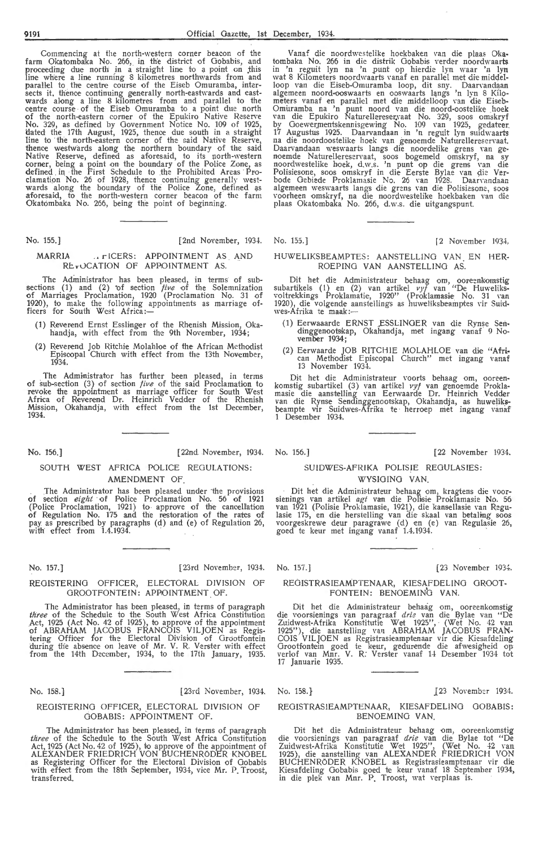Commencing at the north-western corner beacon of the farm Okatomba'ka No. 266, in the district of Gobabis, and proceeding due north in a straight line to a point on this<br>line where a line running 8 kilometres northwards from and parallel to the centre course of the Eiseb Omuramba, intersects it. thence continuing generally north-eastwards and east-<br>wards along a line 8 kilometres from and parallel to the centre course -of the Eiseb Omuramba to a point due north of the north-eastern corner of the Epukiro Native Reserve<br>No. 329, as defined by Government Notice No. 109 of 1925, dated the 17th August, 1925, thence due south in a straight line to the north-eastern corner of the said Native Reserve, thence westwards along the northern boundary of the said Native Reserve, defined as \_ aforesaid, to its porth-western corner, being a point on the boundary of the Police Zone, as defined in the First Schedule to the Prohibited Areas Proclamation No. 26 of 1928, thence continuing generally westwards along the boundary of the Police Zone, defined as aforesaid, to the north-western corner beacon of the farm Okatombaka No. 266, being the point of beginning.

#### No. 155.] [2 November, 1934. No. 155.] [2 November 1934.

#### MARRIA . . r ICERS: APPOINTMENT AS AND REVOCATION OF APPOINTMENT AS.

The Administrator has been pleased, in terms of subsections (1) and (2) of section *five* of the Solemnization<br>of Marriages Proclamation, 1920 (Proclamation No. 31 of 1920), to make the following appointments as marriage of-<br>ficers for South West Africa:—

- (1) Reverend Ernst Esslinger of the Rhenish Mission, Okahandja, with effect from the 9th November, 1934;
- (2) Reverend Job Ritchie Molahloe of the African Methodist Episcopal Church with effect from the 13th November, 1934.

The Administrator has further been pleased, in terms of sub-section (3) of section *five* of the said Proclamation to revoke the appointment as marriage officer for South West Africa of Reverend Dr. Heinrich Vedder of the Rhenish Mission, Okahandja, with effect from the 1st December, 1934.

No. 156.] (22nd November, 1934. No. 156.) [22 November 1934.

#### SOUTH WEST AFRICA POLICE REGULATIONS: AMENDMENT OF

The Administrator has been pleased under the provisions of section *eight* of Police Proclamation No. 56 of 1921 (Police Proclamation, 1921) to approve of the cancellation of Regulation No. 175 and the restoration of the rates of pay as prescribed by paragraphs (d) and (e) of Regulation 26, with effect from 1.4.1934.

REGISTERING OFFICER, ELECTORAL DIVISION OF GROOTFONTEIN: APPOINTMENT OF.

The Administrator has been pleased, in terms of paragraph *three* of the Schedule to the South West Africa Constitution Act, 1925 (Act No. 42 of 1925), to approve of the appointment of ABRAHAM JACOBUS FRANCOIS VILJOEN as Registering Officer for the Electoral Division of Grootfontein during the absence on leave of Mr. V. R. Verster with effect from the 14th December, 1934, to the 17th January, 1935.

#### No. 158.] [23rd November, 1934. No. 158.} (23 November 1934.

#### REGISTERING OFFICER, ELECTORAL DIVISION OF GOBABIS: APPOINTMENT OF.

The Administrator has been pleased, in terms of paragraph three of the Schedule to the South West Africa Constitution Act, 1925 (Act No. 42 of 1925), to approve of the appointment of ALÉXANDER FRIEDRICH VON BUCHENRODER KNOBEL<br>as Registering Officer for the Electoral Division of Gobabis with effect from the 18th September, 1934, vice Mr. P. Troost, transferred.

Vanaf die noordwestelike hoekbaken van die plaas Okatombaka No. 266 in die distrik Gobabis verder noordwaarts in 'n reguit lyn na 'n punt op \_ hierdie lyn waar 'n iyn wat 8 Kilometers noordwaarts vanaf en parallel met die middel-<br>loop van die Eiseb-Omuramba loop, dit sny. Daarvandaan algemeen noord-ooswaarts en ooswaarts langs 'n lyn 8 Kilometers vanaf en parallel met die middelloop van die Eiseb-<br>Omuramba na 'n punt noord van die noord-oostelike hoek van die Epukiro Naturellereser.vaat No. 329, soos omskryf by Goewermentskennisgewing No. 109 van 1925, gedateer.<br>17 Augustus 1925. Daarvandaan in 'n reguit lyn suidwaarts<br>na die noordoostelike hoek van genoemde Naturellereservaat. Daarvandaan weswaarts langs die noordelike grens van ge-<br>noemde Naturellereservaat, soos bogemeld omskryf, na sy<br>noordwestelike hoek, d.w.s. 'n punt op die grens van die Polisiesone, soos omskryf in die Eerste Bylae van die Verbode Gebiede Proklamasie No. 26 van 1928. Daarvandaan algemeen weswaarts langs die grens van die Polisiesone, soos<br>voorheen omskryf, na die noordwestelike hoekbaken van die plaas Okatombaka No. 266, d.w.s. die uitgangspunt.

#### HUWELIKSBEAMPTES: AANSTELLJNG VAN. EN HER-ROEPING VAN AANSTELLING AS.

Dit het die Administrateur behaag om, ooreenkomstig subartikels (1) en (2) van artikel *vJj* van "De Huweliks-<br>voltrekkings Proklamatie, 1920" (Proklamasie No. 31 van<br>1920), die volgende aanstellings as huweliksbeamptes vir Suid-<br>wes-Afrika te maak :--

- ( !) Eerwaaarde ERNST .ESSLINGER van die Rynse Sendinggenootsikap, Okahandja, met ingang vanaf 9 November 1934;
- (2) Eerwaarde JOB RITCHIE MOLAHLOE van die "Afri- can Methodist Episcopal Church'' met ingang vanaf 13 November 1934.

Dit het die Administrateur voorts behaag om, ooreen-<br>komstig subartikel (3) van artikel *vyf* van genoemde Prokla-<br>masie die aanstelling van Eerwaarde Dr. Heinrich Vedder masie die aanstelling van Eerwaarde Dr. Heinrich Vedder<br>van die Rynse Sendinggenootskap, Okahandja, as huweliksbeampte vir Suidwes-Afrika te herroep met ingang vanaf 1 Desember 1934.

#### SUIDWES-AFRIKA POLISIE REOULASIES: WYSIGING VAN.

Dit het die Administrateur behaag om, kragtens die voor-<br>sienings van artikel *agt* van die Polisie Proklamasie No. 56<br>van 1921 (Polisie Proklamasie, 1921), die kansellasie van Regulasie 175, en die herstelling van die skaal van betaling soos<br>voorgeskrewe deur paragrawe (d) en (e) van Regulasie 26, goed te keur met ingang vanaf 1.4.1934.

#### No. 157.] (23 November, 1934. No. 157.] (23 November 1934.

#### REGISTRASIEAMPTENAAR, K!ESAFDELING GROOT-FONTEIN: BENOEMING VAN.

Dit het die Administrateur behaag om, ooreenkomstig<br>die voorsienings van paragraaf *drie* van die Bylae van "De<br>Zuidwest-Afrika Konstitutie Wet 1925", (Wet No. 42 van<br>1925"), die aanstelling van ABRAHAM JACOBUS FRAN-COIS VILJOEN as Registrasieamptenaar vir die Kiesafdeling Grootfontein goed te keur, gedurende die afwesigheid op<br>verlof van Mnr. V. R. Verster vanaf 14 Desember 1934 tot 17 Januarie 1935.

#### REGISTRASIEAMPTENAAR, KIESAFDELING GOBABIS: BENOEMING VAN.

Dit het die Administrateur behaag om, ooreenkomstig die voorsienings van paragraaf *drie* van die Bylae tot "De Zuidwest-Afrika Konstitutie Wet 1925", (Wet No. 42 van<br>1925), die aanstelling van ALEXANDER FRIEDRICH VON BUCHENRÖDER KNOBEL as Registrasieamptenaar vir die Kiesafdeling Gobabis goed te keur vanaf 18 September 1934, in die plek van Mnr. P. Troost, wat verplaas is.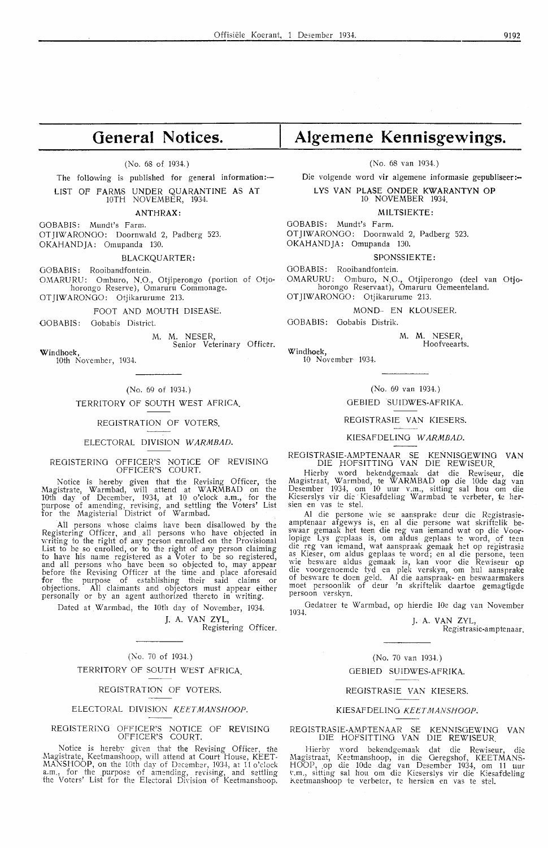## **General Notices.**

(No. 68 of 1934.)

The following is published for general information:-LIST OF FARMS UNDER QUARANTINE AS AT 10TH NOVEMBER, 1934.

**ANTHRAX:** 

GOBABIS: Mundt's Farm. OT JIW ARONGO: Doornwald 2, Padberg 523. OKAHANDJA: Omupanda 130.

BLACKQUARTER:

GOBABIS: Rooibandfontein. OMARURU: Omburo, N.O., Otjiperongo (portion of Otjo-

horongo Reserve), Omaruru Commonage. OTJIWARONGO: Otjikarurume 213.

FOOT AND MOUTH DISEASE.

GOBABIS: Gobabis District.

M. M. NESER,<br>Senior Vet Veterinary Officer.

Windhoek, 10th November, 1934.

#### $(No. 69 of 1934.)$

TERRITORY OF SOUTH WEST AFRICA.

REGISTRATION OF VOTERS.

#### ELECTORAL DIVISION WARMBAD.

#### REGISTERING OFFICER'S NOTICE OF REVISING OFFICER'S COURT.

Notice is hereby given that the Revising Officer, the Magistrate, Warmbad, will attend at **W ARMBAD** on the 10th day of December, 1934, at 10 o'clock a.m., for the purpose of amending, revising, and settling the Voters' List for the Magisterial District of Warmbad.

All persons whose claims have been disallowed by the Registering Officer, and. all persons who have objected in writing to the right of any person enrolled on the Provisional List to be so enrolled, or to the right of any person claiming to have his name registered as a Voter to be so registered, and all persons who have been so objected to, may appear before the Revising Officer at the time and place aforesaid for the purpose of establishing their said claims or objections. All claimants and objectors must appear either personally or by an agent authorized thereto in writing.

Dated at Warmbad, the 10th day of November, 1934.

J. A. VAN ZYL,

Registering Officer.

#### (No. 70 of 1934.)

TERRITORY OF SOUTH WEST AFRICA

#### REGISTRATION OF VOTERS.

#### ELECTORAL DIVISION KEETMANSHOOP.

#### REOISTERI~G OFFICER'S NOTICE OF REVISING OFFICER'S COURT.

Notice is hereby given that the Revising Officer, the Magistrate, Keetmanshoop, will attend at Court House, KEET-MANSHOOP, on the 10th day of December, 1934, at 11 o'clock a.m., for the purpose of amending, revising, and settling the Voters' List for the Electoral Division of Keetmanshoop.

# **Algemene Kennisgewings.**

(No. 68 van 1934.)

Die volgende word vir algemene informasie gepubliseer:--

#### L VS VAN PLASE ONDER **KWARANTYN OP**

10 NOVEMBER 1934.

**MILTSIEKTE:** 

OOBABIS: Mundt's Farm. OT JIWARONGO: Doornwald 2, Padberg 523. OKAHANDJA: Omupanda 130.

SPONSSIEKTE:

GOBABIS: Rooibandfontein.

OMARURU: Omburo, N.O., Otjiperongo ( dee! van Otjohorongo Reservaat), Omaruru Gemeenteland. OT JIWARONGO: Otjikarurume 213.

MOND- EN KLOUSEER.

GOBABIS: Gobabis Distrik.

**M. M.** NESER, Hoofveearts.

Windhoek, 10 November 1934.

#### (No. 69 van 1934.)

#### GEBIED SUIDWES-AFRIKA.

#### REOISTRASIE VAN KIESERS.

KIESAFDELING WARMBAD.

#### REOISTRASIE-AMPTENAAR SE KENNISGEW!NG VAN DIE HOFSITTING VAN DIE REWISEUR.

Hierby word bekendgemaak dat die Rewiseur, die Magistraat, Warmbad, te WARMBAD op die 10de dag van<br>Desember 1934, om 10 uur v.m., sitting sal hou om die Kieserslys vir die Kiesafdeling Warmbad te verbeter, te hersien en vas te stel.

Al die persone wie se aansprake deur die Registrasieamptenaar afgewys is, en al die persone wat skriftelik be-<br>swaar gemaak het teen die reg van iemand wat op die Voorlopige Lys geplaas is, om aldus geplaas te word, of teen die reg van iemand, wat aanspraak gemaak het op registrasie as Kieser, om aldus geplaas te word; en al die persone, teen wie besware aldus gemaak is, kan voor die Rewiseur op die voorgenoemde tyd en plek verskyn, om hul aansprake of besware te doen geld. Al die aanspraak- en beswaarmakers<br>moet persoonlik of deur 'n skriftelik daartoe gemagtigde persoon verskyn.

Gedateer te Warmbad, op hierdie 10e dag van November 1034

J. **A. VAN** ZYL,

Registrasie-amptenaar.

#### (No. 70 van 1934.)

#### GEBIED SUIDWES-AFRIKA.

#### REOISTRAS!E VAN KIESERS.

#### KIESAFDELING KEETMANSHOOP.

#### REOISTRASIE-AMPTENAAR SE KENNISGEWING VAN DIE HOFSITTING VAN DIE REWISEUR.

Hierby word bekendgemaak dat die Rewiseur, die ,\1agistraat, Keetmanshoop, in die Oeregshof, KEETMANS-HOOP, op die 10de .dag van Desember 1934, om 11 uur<br>v.m., sitting sal hou om die Kieserslys vir die Kiesafdeling Keetmanshoop te verbeter, te hersien en vas te stel.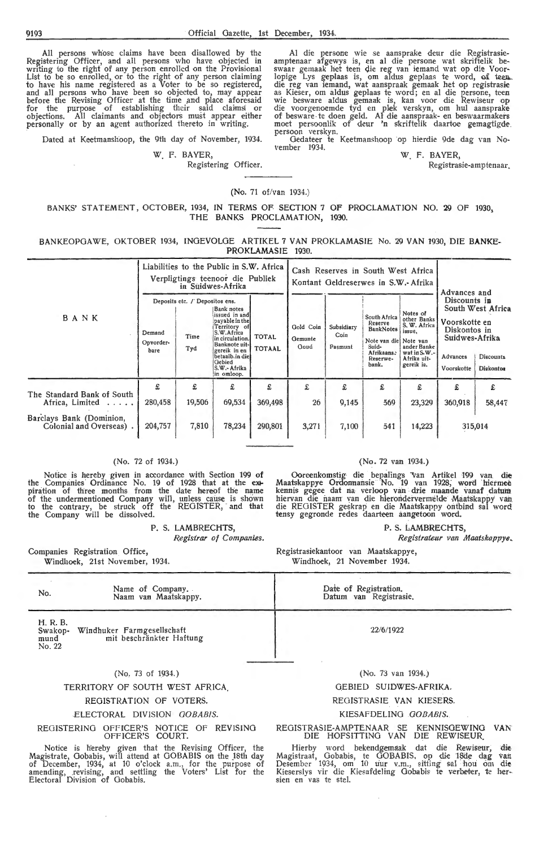All persons wh'ose claims have been disallowed by the Registering Officer, and all persons who have objected in writing to the right of any person enroHed on the Provisional List to be so enrolled, or to the right of any person claiming to have his name registered as a Voter to be so registered, and all persons who have been so objected to, may appear before the Revising Officer at the time and place aforesaid<br>for the purpose of establishing their said claims or<br>objections. All claimants and objectors must appear either personally or by an agent authorized thereto in writing.

Dated at Keetmanshoop, the 9th day of November, 1934.

\V. F. BA YER,

Registering Officer.

Al die persone wie se aansprake deur die Registrasieamptenaar afgewys is, en al die persone wat skriftelik be-<br>swaar gemaak het teen die reg van iemand wat op die Voorlopige Lys geplaas is, om aldus geplaas te word, of teen. die reg van iemand, wat aanspraak gemaak het op registrasie<br>as Kieser, om aldus geplaas te word; en al die persone, teen wie besware aldus gemaak is, kan voor die Rewiseur op die voorgenoemde tyd en plek verskyn, om hul aansprake of besware . te doen geld. Al die aanspraak- en beswaarmakers moet persoonlik of deur 'n skriftelik daartoe gemagtigde.<br>persoon verskyn. oersoon verskyn.<br>Gedateer te Keetmanshoop op hierdie 9de dag van No-

vember 1934.

W F. BAYER,

Registrasie-amptenaar.

(No. 71 of/van 1934.)

BANKS' STATEMENT, OCTOBER, 1934, IN TERMS OF SECTION 7 OF PROCLAMATION NO. 29 OF 1930, THE BANKS PROCLAMATION, 1930.

BANKEOPGAWE, OKTOBER 1934, INOEVOLOE ARTIKEL 7 VAN PROKLAMASIE No. 29 VAN 1930, DIE **BANKE-**PROKLAMASIE 1930.

|                                                     |                             |                                               | Liabilities to the Public in S.W. Africa<br>Verpligtings teenoor die Publiek<br>in Suidwes-Afrika                                                                                          |                               | Cash Reserves in South West Africa<br>Kontant Geldreserwes in S.W.- Afrika |                               |                                                                                                                  |                                                                                                               | Advances and                                                                              |                                                    |
|-----------------------------------------------------|-----------------------------|-----------------------------------------------|--------------------------------------------------------------------------------------------------------------------------------------------------------------------------------------------|-------------------------------|----------------------------------------------------------------------------|-------------------------------|------------------------------------------------------------------------------------------------------------------|---------------------------------------------------------------------------------------------------------------|-------------------------------------------------------------------------------------------|----------------------------------------------------|
| BANK                                                | Demand<br>Opvorder-<br>bare | Deposits etc. / Depositos ens.<br>Time<br>Tyd | Bank notes<br>issued in and<br>payable in the<br>Territory of<br>S.W.Africa<br>in circulation.<br>Banknote uit-<br>gereik in en<br>betaalb.in diel<br>Gebied<br>S.W.- Afrika<br>in omloop. | <b>TOTAL</b><br><b>TOTAAL</b> | Gold Coin<br>Gemunte<br>Goud                                               | Subsidiary<br>Coin<br>Pasmunt | South Africa<br>Reserve<br><b>BankNotes</b><br>Note van die Note van<br>Suid-<br>Afrikaans.<br>Reserwe-<br>bank. | Notes of<br>other Banks<br>S. W. Africa<br>issue.<br>ander Banke<br>wat in S.W.-<br>Afrika uit-<br>gereik is. | Discounts in<br>Voorskotte en<br>Diskontos in<br>Suidwes-Afrika<br>Advances<br>Voorskotte | South West Africa<br><b>Discounts</b><br>Diskontos |
| The Standard Bank of South<br>Africa, Limited       | £<br>280,458                | £<br>19,506                                   | £<br>69,534                                                                                                                                                                                | £<br>369,498                  | £<br>26                                                                    | £<br>9,145                    | £<br>569                                                                                                         | £<br>23,329                                                                                                   | £<br>360,918                                                                              | £<br>58,447                                        |
| Barclays Bank (Dominion,<br>Colonial and Overseas). | 204,757                     | 7,810                                         | 78,234                                                                                                                                                                                     | 290,801                       | 3,271                                                                      | 7,100                         | 541                                                                                                              | 14,223                                                                                                        |                                                                                           | 315,014                                            |

#### (No. 72 of 1934.)

Notice is hereby given in accordance with Section 199 **of**  the Companies Ordinance No. 19 of 1928 that at the expiration of three months from the date hereof the name of the undermentioned Company will, unless cause is shown to the contrary, be struck off the REGISTER, and that the Company will be dissolved.

P. S. LAMBRECHTS,

*Registrar of Companies.* 

Companies Registration Office, Windhoek, 21st November, 1934.

### (No . 72 van 1934.)

Ooreenkomstig· die \_bepalings van Artikel 199 yari di~ Maatskappye Ordonnans1e No. 19 van 1928, word h1etmee kennis gegee dat na verloop van drie maande vanaf datum hiervan die naam van die hierondervermelde Maatskappy van die REGISTER geskrap en die Maatskappy ontbind sal word tensy gegronde redes daarteen aangetoon word.

P. S. LAMBRECHTS,

*Registrateur van Maatskappye,* 

Registrasiekantoor van Maatskappye, Windhoek, 21 November 1934.

| No.                                   | Name of Company.<br>Naam van Maatskappy.               | Date of Registration.<br>Datum van Registrasie. |
|---------------------------------------|--------------------------------------------------------|-------------------------------------------------|
| H. R. B.<br>Swakop-<br>mund<br>No. 22 | Windhuker Farmgesellschaft<br>mit beschränkter Haftung | 22/6/1922                                       |
|                                       | (No. 73 of 1934.)                                      | (No. 73 van 1934.)                              |

#### TERRITORY OF SOUTH WEST AFRICA.

#### REGISTRATION OF VOTERS.

#### ELECTORAL DIVISION *OOBABIS.*

REGISTERING OFFICER'S NOTICE OF REVISING OFFICER'S COURT.

Notice is hereby given that the Revising Officer, the Magistrate, Gobabis, will attend at GOBABIS on the 18th day of December, 1934, at 10 o'dock a.m., for the purpose of amending, revising, and settling the Voters' List for the Electoral Division of Gobabis.

#### GEBIED SUIDWES-AFRIKA.

#### REGISTRASIE VAN KIESERS.

#### KIESAFDELINO *OOBABIS ..*

REGISTRASIE-AMPTENAAR SE KENNISOEWJNG VAN DIE HOFSITTING VAN DIE REWISEUR.

Hierby word bekendgemaak dat die Rewiseur, die Magistraat, Gobabis, te GOBABIS, op die 18de dag van Desember 1934, om 10 uur v.m., sitting' sal hou om die Kieserslys vir die Kiesafdeling Gobabis te verbeter, te her-<br>sien en vas te stel.

 $\bar{1}$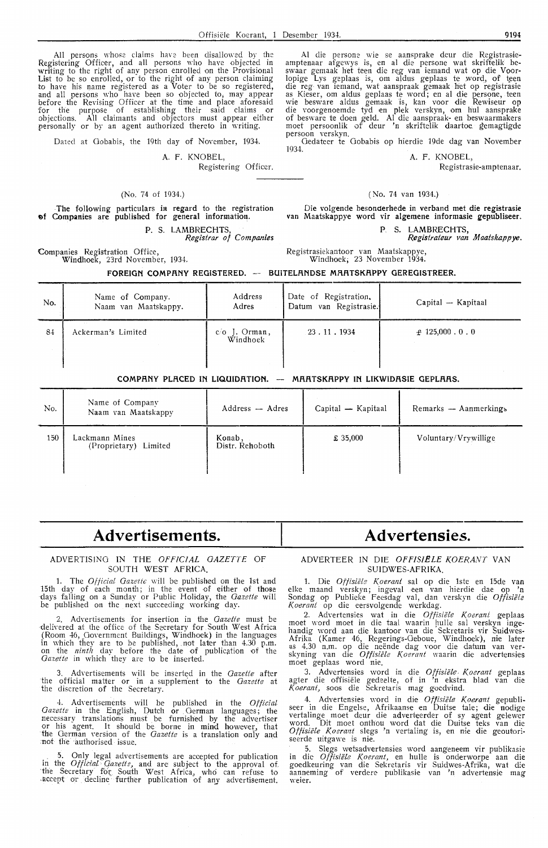All persons whose claims have been disallowed by the Registering Officer, and all persons who have objected in writing to the right of any person enrolled on the Provisional List to be so enrolled, or to the right of any person claiming *to* have his name registered as a Voter to be so registered, and all persons who have been so objected to, may appear before the Revising Officer at the time and place aforesaid for the purpose of establishing their said claims or objections. All claimants and objectors must appear either For the purpose of establishing their said claims or objections. All claimants and objectors must appear either personally or by an agent authorized thereto in writing.

Dated at Gobabis, the 19th day of November, 1934.

#### A. F. KNOBEL,

Registering Officer.

#### (No. 74 of 1934.)

The following particulars in regard to the registration 0f Companies are published for general information.

### P. S. LAMBRECHTS,

*Registrar of Companies* 

Companies Registration Office, Windhoek, 23rd November, 1934.

Al die personc: wie se aansprake deur die Registrasieamptenaar afgewys is, en al die persone wat skriftelik be- swaar gemaak het teen die reg van iemand wat op die Voor• lopige Lys geplaas is, om aldus geplaas te word, of teen die reg van iemand, wat aanspraak gemaak het op registrasie as Kieser, om aldus geplaas te word; en al die persone, teen wie besware aldus gemaak is, kan voor die Rewiseur op die voorgenoemde tyd en plek verskyn, om hul aansprake of besware te doen geld. Al die aanspraak- en beswaarmakers moet persoonlik of deur 'n skriftelik daartoe gemagtigde persoon verskyn.

Gedateer te Gobabis op hierdie 19de dag van November 1034.

#### A. F. KNOBEL,

Registrasie-amptenaar.

#### ( No. 74 van 1934.)

Die volgende besonderhede in verband met die registrasie van Maatskappye word vir algemene informasie gepubliseer.

P. S. LAMBRECHTS.

*Registrateur van Maatskappye.* 

Registrasiekantoor van Maatskappye, Windhoek; 23 November 1934.

|     | FOREIGN COMPANY REGISTERED. - BUITELANDSE MAATSKAPPY GEREGISTREER. |                             |                                                 |                       |  |  |  |  |  |  |
|-----|--------------------------------------------------------------------|-----------------------------|-------------------------------------------------|-----------------------|--|--|--|--|--|--|
| No. | Name of Company.<br>Naam van Maatskappy.                           | Address<br>Adres            | Date of Registration.<br>Datum van Registrasie. | Capital — Kapitaal    |  |  |  |  |  |  |
| 84  | Ackerman's Limited                                                 | $c/O$ J. Orman,<br>Windhoek | 23.11.1934                                      | $\pm$ 125,000 . 0 . 0 |  |  |  |  |  |  |

#### **COMPANY PLACED IN LIQUIDRTION.** -- **MRATSKAPPY IN LIKWIDASIE GEPLAAS.**

| No. | Name of Company<br>Naam van Maatskappy  | Address - Adres           | Capital — Kapitaal | Remarks — Aanmerkings |
|-----|-----------------------------------------|---------------------------|--------------------|-----------------------|
| 150 | Lackmann Mines<br>(Proprietary) Limited | Konab,<br>Distr. Rehoboth | £ 35,000           | Voluntary/Vrywillige  |

## **Advertisements.**

#### ADVERTISING IN THE *OFFICIAL GAZETTE* OF SOUTH WEST AFRICA.

1. The *Official Gazette* will be published on the 1st and 15th day of each month; in the event of either of those days falling on a Sunday or Public Holiday, the *Gazette* will be published on the next succeeding working day.

2. Advertisements for insertion in the *Gazette* must be delivered at the office of the Secretary for South West Africa (Room 46, Government Buildings, Windhoek) in the languages in which they are to be published, . not later than 4.30 p.m. on the *ninth* day before the date of publication of the Gazette in which they are to be inserted.

Advertisements will be inserted in the *Gazette* after the official matter or in a supplement to the *Gazette* at the discretion of the Secretary.

4-. Advertisements will be published in the *Official Gazette* in the English, Dutch or German languages; the necessary translations must be furnished by the advertiser or his agent. It should be borne in mind however, that the German version of the *Gazette* is a translation only and not the authorised issue.

. Only legal advertisements are accepted for publication in the *Official Qazetti,* and are subject to the approval of. the Secretary fot South West Africa, who can refuse to accept or decline further publication of any advertisement.

# ADVERTEER IN DIE OFFISIELE KOERANT VAN

**Advertensies.** 

SUIDWES-AFRIKA. 1. Die *Offisiële Koerant* sal op die 1ste en 15de van

elke maand verskyn; ingeval een van hierdie dae op **'n**  Sondag op Publieke Feesdag val, dan verskyn die Offisiële *Koerant* op die eersvolgende werkdag.

2. Advertensies wat in die Offisiële Koerant geplaas moet word moet in die taal waarin hulle sal verskyn ingehandig word aan die kantoor van die Sekretaris vir Suidwes• Afrika (Kamer 46, Regerings-Geboue, Windhoek), nie later us 4.30 n.m. op die neënde dag voor die datum van ver-<br>skyning van die *Offisiële Koerant* waarin die advertensies moet geplaas word nie.

3. Advertensies word in die Offisiële Koerant geplaas agter die offisiële gedeelte, of in 'n ekstra blad van die *Koerant,* soos die Sekretaris mag goedvind.

4. Advertensies word in die Offisiële Koerant gepubli-<br>seer in die Engelse, Afrikaanse en Duitse tale; die nodige vertalinge moet deur die adverteerder of sy agent gelewer word. Dit moet onthou word dat die Duitse teks van die Offisiële Koerant slegs 'n vertaling is, en nie die geoutoriseerde uitgawe is nie.

5. Slegs wetsadvertensies word aangeneem vir publikasie in die *Offisiële Koerant*, en hulle is onderworpe aan die goedkeuring van die Sekretaris vir Suidwes-Afrika, wat d:e aanneming of verdere publikasie van 'n advertensje mag weier.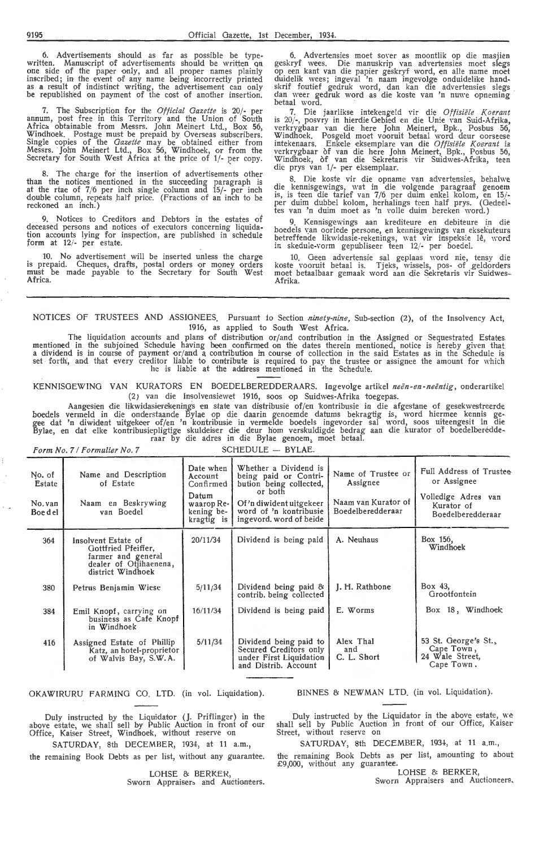6. Advertisements should as far as possible be type-<br>written. Manuscript of advertisements should be written on one side of the paper only, and all proper names plainly inscribed; in the event of any name being incorrectly printed as a result of indistinct writing, the advertisement can only be republished on payment of the cost of another insertion.

7. The Subscription for the *Official Gazette* is 20/- per annum, post free in this Territory and the Union -of South Africa obtainable from Messrs. John Meinert Ltd., Box 56, Windhoek. Postage must be prepaid by Overseas subscribers.<br>Single copies of the *Gazette* may be obtained either from Messrs. John Meinert Ltd., Box 56, Windhoek, or from the Secretary for South West Africa at the price of 1/- per copy.

8. The charge for the insertion of advertisements other than the notices mentioned in the succeeding paragraph is at the rtae of 7/6 per inch single column and 15/- per inch double column, repeats half price. (Fractions of an inch to be reckoned an inch.)

9. Notices to Creditors and Debtors in the estates of deceased persons and notices of executors concerning liquidation accounts lying for ipspection, are published in schedule fo rm at 12/- per estate.

10. No advertisement will be inserted unless the charge is prepaid. Cheques, drafts, postal orders or money o rders must be made payable to the Secretary for South West Africa.

6. Advertensies moet sover as moontlik op die masjien geskryf wees. Die manuskrip van advertensies moet slegs op een kant van die papier geskryf word, en alle name moet duidelik wees; ingeval 'n naam ingevolge onduidelike handskrif foutief gedruk word, dan kan die advertensies slegs dan weer gedruk word as die koste van 'n nuwe opneming betaal word.

7. Die jaarlikse intekengeld vir die *Offisiele Koerant*  is 20/-, posvry in hierdie Gebied en die Unie van Suid-Afrika, verkrygbaar van die here John Meinert, Bpk., Posbus 56, Windhoek. Posgeld moet vooruit betaal word deur oorseese<br>intekenaars. Enkele eksemplare van die *Offisiële Koerant* is verkrygbaar of van die here John Meinert, Bpk., Posbus 56, Windhoek, of van die Sekretaris vir Suidwes-Afrika, teen die prys van 1/- per eksemplaar.

8. Die koste vir die opname van advertensies, behalw·e die kennisgewings, wat in die volgende paragraaf genoem is, is teen die tarief van 7/6 per duim enkel kolom, en 15/per duim dubbel kolom, herhalings teen half prys. (Oedeel- tes van 'n duim moet as 'n Yo lie duim bereken word.)

Kennisgewings aan krediteure en debiteure in die boedels van oorlede persone, en kennisgewings van eksekuteurs betreffende likwidasie-rekenings, wat vir inspeksie lê, word in skedule -vorm gepubliseer teen *12/-* per boedel.

10. Geen advertensie sal geplaas word nie, tensy die koste vooruit betaal is. Tjeks, wissels, pos- of geldorders moet betaalbaar gemaak word aan die Sekretaris vir Suidwes- Afrika.

NOTICES OF TRUSTEES AND ASSIGNEES. Pursuant to Section *ninety-nine*, Sub-section (2), of the Insolvency Act, 1916, as applied to South West Africa.

The liquidation accounts and plans of distribution or/and contribution in the Assigned or Sequestrated Estates<br>mentioned in the subjoined Schedule having been confirmed on the dates therein mentioned, notice is hereby give a dividend is in course of payment or/and a contribution in course of collection in the said Estates as in the Schedule is set forth, and that every creditor liable to contribute is required to pay the trustee or assignee the amount for which he is liable at the address mentioned in the Schedule.

KENNISGEWING VAN KURATORS EN BOEDELBEREDDERAARS. lngevolge artikel *neen-en-neentig,* onderartikel (2) van die Insolvensiewet 1916, soos op Suidwes-Afrika toegepas.

Aangesien die likwidasierekenings en state van distribusie of/en kontribusie in die afgestane of gesekwestreerde boedels vermeld in die onderstaande Bylae op die daarin genoemde datums bekragtig is, word hiermee kennis gegee dat 'n diwident uitgekeer of/en 'n kontribusie in vermelde boedels ingevorder sal word, soos uiteengesit in die Bylae, en dat elke kontribusiepligtige skuldeiser die deur hom verskuldigde bedrag aan die kurator of boedelberedde-<br>raar by die adres in die Bylae genoem, moet betaal.

|                                               | Form No. 7 / Formulier No. 7                                                                                    |                                                                                      | SCHEDULE - BYLAE.                                                                                                                                                    |                                                                            |                                                                                                  |  |  |
|-----------------------------------------------|-----------------------------------------------------------------------------------------------------------------|--------------------------------------------------------------------------------------|----------------------------------------------------------------------------------------------------------------------------------------------------------------------|----------------------------------------------------------------------------|--------------------------------------------------------------------------------------------------|--|--|
| No. of<br><b>Estate</b><br>No. van<br>Boe del | Name and Description<br>of Estate<br>Naam en Beskrywing<br>van Boedel                                           | Date when<br>Account<br>Confirmed<br>Datum<br>waarop Re-<br>kening be-<br>kragtig is | Whether a Dividend is<br>being paid or Contri-<br>bution being collected,<br>or both<br>Of'n diwident uitgekeer<br>word of 'n kontribusie<br>ingevord. word of beide | Name of Trustee or<br>Assignee<br>Naam van Kurator of<br>Boedelberedderaar | Full Address of Trustee<br>or Assignee<br>Volledige Adres van<br>Kurator of<br>Boedelberedderaar |  |  |
| 364                                           | Insolvent Estate of<br>Gottfried Pfeiffer,<br>farmer and general<br>dealer of Otjihaenena,<br>district Windhoek | 20/11/34                                                                             | Dividend is being paid                                                                                                                                               | A. Neuhaus                                                                 | Box 156.<br>Windhoek                                                                             |  |  |
| 380                                           | Petrus Benjamin Wiese                                                                                           | 5/11/34                                                                              | Dividend being paid &<br>contrib. being collected                                                                                                                    | J. H. Rathbone                                                             | Box 43.<br>Grootfontein                                                                          |  |  |
| 384                                           | Emil Knopf, carrying on<br>business as Cafe Knopf<br>in Windhoek                                                | 16/11/34                                                                             | Dividend is being paid                                                                                                                                               | E. Worms                                                                   | Box 18, Windhoek                                                                                 |  |  |
| 416                                           | Assigned Estate of Phillip<br>Katz, an hotel-proprietor<br>of Walvis Bay, S.W.A.                                | 5/11/34                                                                              | Dividend being paid to<br>Secured Creditors only<br>under First Liquidation<br>and Distrib. Account                                                                  | Alex Thal<br>and<br>C. L. Short                                            | 53 St. George's St.,<br>Cape Town,<br>24 Wale Street,<br>Cape Town.                              |  |  |

OKAWIRURU FARMING CO. LTD. (in vol. Liquidation). BINNES & NEWMAN LTD. (in vol. Liquidation).

Duly instructed by the Liquidator (J. Priflinger) in the above estate, we shall sell by Public Auction in front of our Office, Kaiser Street, Windhoek, without reserve on

SATURDAY, 8th DECEMBER, 1934, at 11 a.m., the remaining Book Debts as per list, without any guarantee.

> LOHSE & BERKER, Sworn Appraisers and Auctioneers.

Duly instructed by the Liquidator in the above estate, we shall sell by Public Auction in front of our Office, Kaiser Street, without reserve on

SATURDAY, 8th DECEMBER, 1934, at 11 a.m.,

the remaining Book Debts as per list, amounting to about £9,000, without any guarantee.

LOHSE & BERKER, Sworn Appraisers and Auctioneers.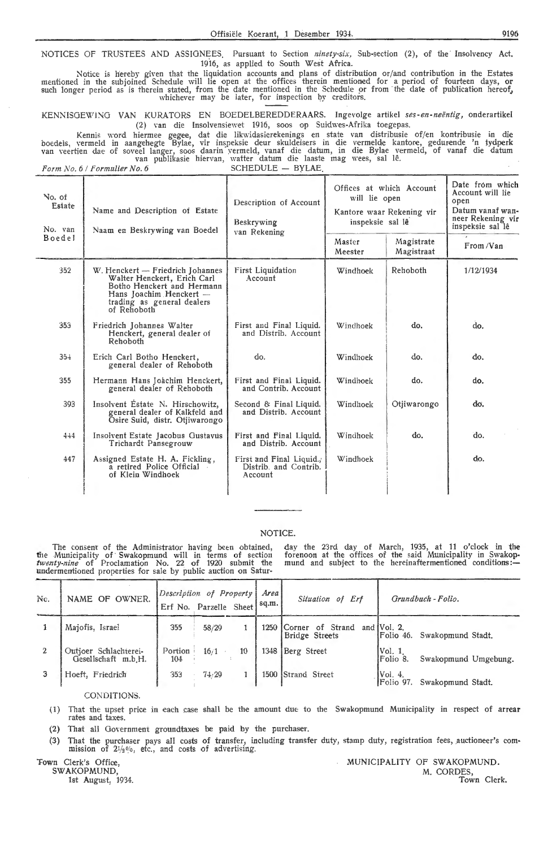NOTICES OF TRUSTEES AND ASSIGNEES. Pursuant to Section *ninety-six*, Sub-section (2), of the Insolvency Act. 1916, as applied to South West Africa.

Notice is hereby given that the liquidation accounts and plans of distribution or/and contribution in the Estates mentioned in the subjoined Schedule will lie open at the offices therein mentioned for a period of fourteen days, or such longer period as is therein stated, from the date mentioned in the Schedule or from the date of publication hereof, whichever may be later, for inspection by creditors.

KE NN ISGEWlNO VAN KURATORS EN BOEDELBEREDDERAARS. lngevolge artikel *ses-en-neentig,* onderartikel (2) van die lnsolvensiewet 1916, soos op Suidwes-Afrika toegepas.

Kennis word hiermee gegee, dat die likwidasierekenings en state van distribusie of/en kontribusie in die boedeis, vermeld in aangehegte Bylae, vir inspeksie deur skuldeisers in die vermelde kantore, gedurende 'n tydperk van veertien dae of soveel langer, soos daarin vermeld, vanaf die datum, in die Bylae vermeld, of vanaf die datum<br>van publikasie hiervan, watter datum die laaste mag wees, sal lê.

*Form No. 6 / Formulier No. 6* SCHEDULE - BYLAE

| No. of<br>Estate<br>No. van | Name and Description of Estate<br>Naam en Beskrywing van Boedel                                                                                                       | Description of Account<br>Beskrywing<br>van Rekening         | Offices at which Account<br>will lie open<br>Kantore waar Rekening vir<br>inspeksie sal lê | Date from which<br>Account will lie<br>open<br>Datum vanaf wan-<br>neer Rekening vir<br>inspeksie sal lê |           |
|-----------------------------|-----------------------------------------------------------------------------------------------------------------------------------------------------------------------|--------------------------------------------------------------|--------------------------------------------------------------------------------------------|----------------------------------------------------------------------------------------------------------|-----------|
| Boedel                      |                                                                                                                                                                       |                                                              | Master<br>Meester                                                                          | Magistrate<br>Magistraat                                                                                 | From /Van |
| 352                         | W. Henckert - Friedrich Johannes<br>Walter Henckert, Erich Carl<br>Botho Henckert and Hermann<br>Hans Joachim Henckert -<br>trading as general dealers<br>of Rehoboth | <b>First Liquidation</b><br>Account                          | Windhoek                                                                                   | Rehoboth                                                                                                 | 1/12/1934 |
| 353                         | Friedrich Johannes Walter<br>Henckert, general dealer of<br>Rehoboth                                                                                                  | First and Final Liquid.<br>and Distrib. Account              | Windhoek                                                                                   | do.                                                                                                      | do.       |
| 354                         | Erich Carl Botho Henckert,<br>general dealer of Rehoboth                                                                                                              | do.                                                          | Windhoek                                                                                   | do.                                                                                                      | do.       |
| 355                         | Hermann Hans Joachim Henckert,<br>general dealer of Rehoboth                                                                                                          | First and Final Liquid.<br>and Contrib. Account              | Windhoek                                                                                   | do.                                                                                                      | do.       |
| 393                         | Insolvent Estate N. Hirschowitz.<br>general dealer of Kalkfeld and<br>Osire Suid, distr. Otjiwarongo                                                                  | Second & Final Liquid.<br>and Distrib. Account               | Windhoek                                                                                   | Otiiwarongo                                                                                              | do.       |
| 444                         | Insolvent Estate Jacobus Gustavus<br>Trichardt Pansegrouw                                                                                                             | First and Final Liquid.<br>and Distrib. Account              | Windhoek                                                                                   | do.                                                                                                      | do.       |
| 447                         | Assigned Estate H. A. Fickling,<br>a retired Police Official<br>of Klein Windhoek                                                                                     | First and Final Liquid.,<br>Distrib. and Contrib.<br>Account | Windhoek                                                                                   |                                                                                                          | do.       |

#### NOTICE.

The consent of the Administrator having been obtained, the Municipality of Swakopmund will in terms of section *twenty-nine* of Proclamation No. 22 of 1920 submit the undermentioned properties for sale by public auction on Satur-

day the 23rd day of March, 1935, at 11 o'clock in the forenoon at the offices of the said Municipality in Swakopmund and subject to the hereinaftermentioned conditions:-

| Nc. | NAME OF OWNER.                               | Description of Property | Erf No. Parzelle Sheet |    | Area!<br>sq.m. | Situation of Erf                          |                      | Grundbuch - Folio.          |
|-----|----------------------------------------------|-------------------------|------------------------|----|----------------|-------------------------------------------|----------------------|-----------------------------|
|     | Majofis, Israel                              | 355                     | 58/29                  |    | 1250           | Corner of Strand<br><b>Bridge Streets</b> | and $[Vol, 2]$ .     | Folio 46. Swakopmund Stadt. |
|     | Outjoer Schlachterei-<br>Gesellschaft m.b.H. | Portion<br>104          | 16/1                   | 10 | 1348           | Berg Street                               | Vol. 1<br>Folio 8.   | Swakopmund Umgebung.        |
|     | Hoeft, Friedrich                             | 353                     | 74.29                  |    |                | 1500 Strand Street                        | Vol. 4.<br>Folio 97. | Swakopmund Stadt.           |

#### CONDITIONS.

- (1) That the upset price in each case shall be the amount due to the Swakopmund Municipality in respect of arrear rates and taxes.
- (2) That all Government groundtaxes be paid by the purchaser.
- (3) That the purchaser pays all costs of transfer, including transfer duty, stamp duty, mission of  $2\frac{1}{2}\%$ , etc., and costs of advertising. registration fees, auctioneer's com-

Town Clerk's Office,

**SWAK** OP MUND,

1st August, 1934.

MUNICIPALITY OF SWAKOPMUND. M. CORDES,<br>Town Clerk.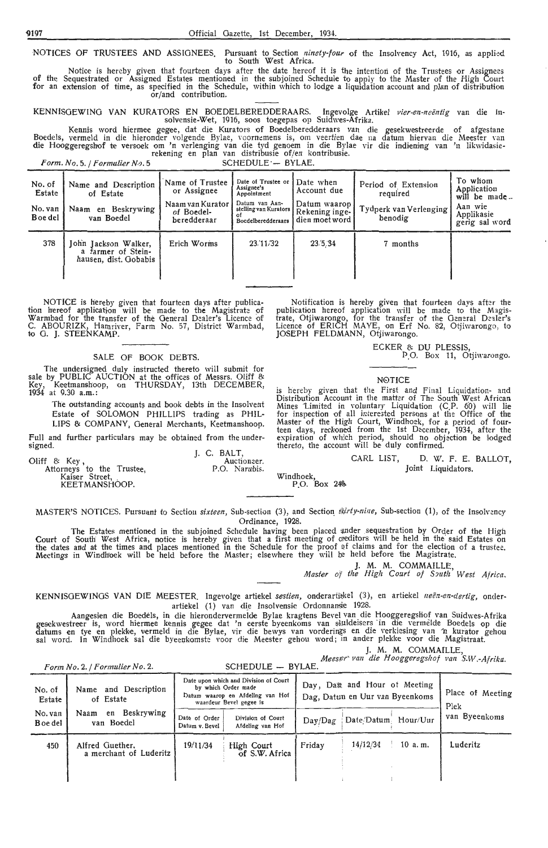NOTICES OF TRUSTEES AND ASSIGNEES. Pursuant to Section *ninety-four* of the Insolvency Act, 1916, as applied to South West Africa.

of the for an Notice is hereby given that fourteen days after the date hereof it is the intention of the Trustees or Assignees<br>Sequestrated or Assigned Estates mentioned in the subjoined Schedule to apply to the Master of the High Court extension of time, as specified in the Schedule, within which to lodge a liquidation account and plan of distribution or/and contribution.

KENNISOEWINO VAN KURATORS EN BOEDELBEREDDERAARS. Ingevolge Artikel *J1ier-en-nei!1ztig* van die Insolvensie-Wet, 1916, soos toegepas op Suidwes-Afrika.

Kennis word hiermee gegee, dat die Kurators of Boedelberedderaars van die gesekwestreerde of afgestane Boedels, vermeld in die hieronder volgende Bylae, voornemens is, om veertien dae na datum hiervan die Meester van<br>die Hooggeregshof te versoek om 'n verlenging van die tyd genoem in die Bylae vir die indiening van 'n likwi rekening en plan van distribusie of/en kontribusie.

*Form. No. 5. | Formulier No. 5* SCHEDULE ·- BYLAE.

| No. of<br>Estate<br>No. van<br><b>B</b> oe del | Name and Description<br>of Estate<br>Beskrywing<br>Naam<br>en<br>van Boedel | Name of Trustee<br>or Assignee<br>Naam van Kurator<br>of Boedel-<br>beredderaar | Date of Trustee or<br>Assignee's<br>Appointment<br>Datum van Aan-<br>stelling van Kurators  <br>ΟŤ<br>Boedelberedderaars | Date when<br>Account due<br>Datum waaron l<br>Rekening inge-<br>dien moet word | of Extension<br>Period<br>required<br>Tydperk van Verlenging<br>benodig | To whom<br>Application<br>will be made<br>Aan wie<br>Applikasie<br>gerig sal word |
|------------------------------------------------|-----------------------------------------------------------------------------|---------------------------------------------------------------------------------|--------------------------------------------------------------------------------------------------------------------------|--------------------------------------------------------------------------------|-------------------------------------------------------------------------|-----------------------------------------------------------------------------------|
| 378                                            | John Jackson Walker,<br>a farmer of Stein-<br>hausen, dist. Gobabis         | Erich Worms                                                                     | 23.11/32                                                                                                                 | 23/5.34                                                                        | 7 months                                                                |                                                                                   |

NOTICE is hereby given that fourteen days after publication hereof application will be made to the Magistrate of Warmbad for the transfer of the General Dealer's Licence of C. ABOURIZK, Hamriver, Farm No. 57, District Warmbad, to G. J. STEENKAMP.

#### SALE OF BOOK DEBTS.

The undersigned duly instructed thereto will submit for sale by PUBLIC AUCTION at the offices of Messrs. Oliff & Key, Keetmanshoop, on THURSDAY, 13th DECEMBER, 1934 at 9.30 a.m.:

The outstanding accounts and book debts in the Insolvent Estate of SOLOMON PHILLIPS trading as PHIL-LIPS & COMPANY, General Merchants, Keetmanshoop.

Full and further particulars may be obtained from the undersigned.

Oliff & Key ,<br>Attorneys to the Trustee,<br>Kaiser Street,<br>KEETMANSHOOP.

Notification is hereby given that fourteen days after the publication hereof application will be made to the Magistrate, Otjiwarongo, for the transfer of the General Dealer's<br>Licence of ERICH MAYE, on Erf No. 82, Otjiwarongo, to JOSEPH FELDMANN, Otjiwarongo.

ECKER & DU PLESSIS,

P.O. Box 11, Otjiwarongo.

### N0TICE

is hereby given that the First and Final Liquidation- and Distribution Account in the matter of The South West African Mines Limited in voluntary Liquidation (C.P. 60) will lie<br>for inspection of all interested persons at the Office of the<br>Master of the High Court, Windhoek, for a period of fourteen days, reckoned from the 1st December, 1934, after the expiration of which period, should no objection be lodged thereto, the account will be duly confirmed.

CARL LIST, D. W. F. E. BALLOT,<br>Joint Liquidators.

Joint Liquidators.<br>Windhoek, 212 Millions of Lines P.O. Box 24%

MASTER'S NOTICES. Pursuant to Section sixteen, Sub-section (3), and Section *thirty-nine*, Sub-section (1), of the Insolvency Ordinance, 1928.

J. C. BALT, P.O. Narubis.

The Estates mentioned in the subjoined Schedule having been placed ander sequestration by Order of the High Court of South West Africa, notice is hereby given that a first meeting of creditors will be held in the said Estates on<br>the dates and at the times and places mentioned in the Schedule for the proof of claims and for the e Meetings in Windh'oek will be held before the Master; elsewhere they will te held before the Magistrate.

> J. M. M. COMMAILLE, *Master of the High Court of South West Africa.*

KENNISGEWINGS VAN DIE MEESTER. Ingevolge artiekel sestien, onderartiekel (3), en artiekel neën-en-dertig, onderartiekel (1) van die Insolvensie Ordonnansie 1928.

Aangesien die Boedels, in die hierondervermeide Bylae kragtens Bevel van die Hooggeregsliof van Suidwes-Afrika gesekwestreer is, word hiermee kennis gegee dat 'n eerste byeenkoms van sluideisers in die vermelde Boedels op die datums en tye en plekke, vermeld in die Bylae, vir die bewys van vorderings en die verkiesing van 'n kurator gehou sal word. In Windhoek sal die byeenkomste voor die Meester gehou word; in ander plekke voor die Magistraat.

|  |  | J. M. M. COMMAILLE, |  |
|--|--|---------------------|--|
|  |  |                     |  |

*Meesner* van die Hooggeregshof van S.W.-Afrika.

|                           | Form No. 2. / Formulier No. 2.            |                                 |                                                                                                                             |         |                                                                  |        |                          |  |
|---------------------------|-------------------------------------------|---------------------------------|-----------------------------------------------------------------------------------------------------------------------------|---------|------------------------------------------------------------------|--------|--------------------------|--|
| No. of<br>Estate          | Name and Description<br>of Estate         |                                 | Date upon which and Division of Court<br>by which Order made<br>Datum waarop en Afdeling van Hof<br>waardeur Bevel gegee is |         | Day, Date and Hour of Meeting<br>Dag, Datun en Uur van Byeenkoms |        | Place of Meeting<br>Plek |  |
| No. van<br><b>Boe del</b> | en Beskrywing<br>Naam<br>van Boedel       | Date of Order<br>Datum v. Bevel | Division of Court<br>Afdeling van Hof                                                                                       | Day/Dag | Date/Datum Hour/Uur                                              |        | van Byeenkoms            |  |
| 450                       | Alfred Guether.<br>a merchant of Luderitz | 19/11/34                        | High Court<br>of S.W. Africa                                                                                                | Friday  | 14/12/34                                                         | 10a.m. | Luderitz                 |  |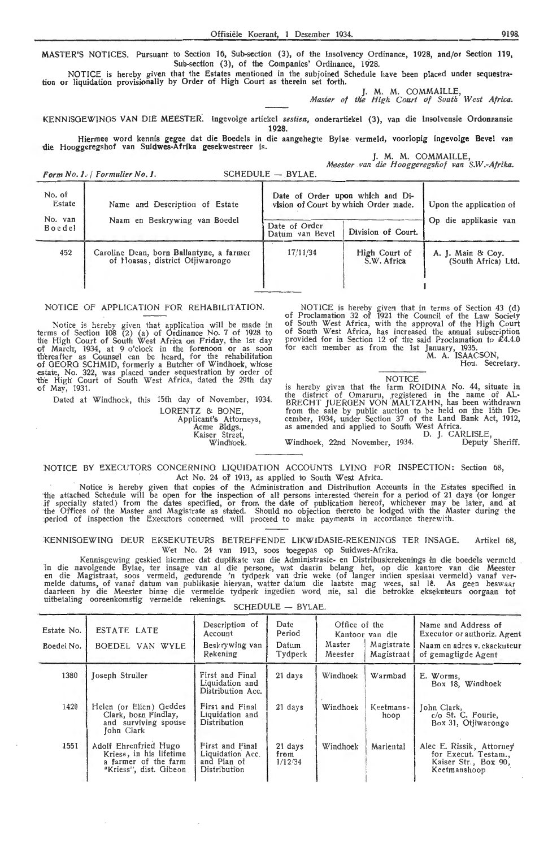MASTER'S NOTICES. Pursuant to Section 16, Sub-section (3), of the Insolvency Ordinance, 1928, and/or Section 119, Sub-section (3), of the Companies' Ordinance, 1928.

NOTICE is hereby given that the Estates mentioned in the subjoined Schedule have been placed under sequestration or liquidation provisionally by Order of High Court as therein set forth.

M. M. COMMAILLE *Master of the High Court of South W est Africa.* 

KENNISOEWINOS VAN DIE MEESTER. lngevolge artickel *sestien,* onderartiekeI (3), van die lnsolvensie Ordonnansie **1928.** 

Hiermee word kennis gegee dat die Boedcls in die aangehegte Bylae vermeld, voorlopig ingevolge Bevel van die Hooggeregshof van Suidwes-Afrika gesekwestreer is.

J. M. M. COMMAILLE, *Me.ester van die Hooggeregskof van S.W.-Afrika.* 

*Form No. 1. I Formulier No. 1.* SCHEDULE - BYLAE.

| No. of<br>Estate  | Name and Description of Estate<br>Naam en Beskrywing van Boedel             | Date of Order upon which and Di-<br>vision of Court by which Order made. | Upon the application of      |                                          |
|-------------------|-----------------------------------------------------------------------------|--------------------------------------------------------------------------|------------------------------|------------------------------------------|
| No. van<br>Boedel |                                                                             | Date of Order<br>Datum van Bevel                                         | Division of Court.           | Op die applikasie van                    |
| 452               | Caroline Dean, born Ballantyne, a farmer<br>of Hoasas, district Otiiwarongo | 17/11/34                                                                 | High Court of<br>S.W. Africa | A. J. Main & Coy.<br>(South Africa) Ltd. |

#### NOTICE OF APPLICATION FOR REHABILITATION.

Notice is hereby given that application will be made in terms of Section 108 (2) (a) of Ordinance No. 7 of 1928 to the High Court of South West Africa on Friday, the 1st day of March, 1934, at 9 o'clock in the forenoon or as soon thereafter as Counsel can be heard, for the rehabilitation of GEORG SCHMID, formerly a Butcher of Windhoek, whose estate, No. 322, was piaced under sequestration by order of the High Court of South West Africa, dated the 29th day of May, 1931.

Dated at Windhoek, this 15th day of November, 1934.

LORENTZ & BONE Applicant's Attorneys, Acme Bldgs.,<br>Kaiser Street, sei stieet,<br>Windhoek

NOTICE is hereby given that in terms of Section 43 (d) of Proclamation 32 of 1921 the Council of the Law Society of South West Africa, with the approval of the High Court of South West Africa, has increased the annual subscription provided for in Section 12 of the said Proclamation to £4.4.0 for each member as from the 1st January, 1935.

M. A. ISAACSON, Hon. Secretary.

## NOTICE

is hereby given that the farm ROIDINA No. 44, situate in the district of Omaruru, registered in the name of AL-BRECHT JUERGEN VON MALTZAHN, has been withdrawn from the sale by public auction to be held on the 15th De- cember, 1934, under Section 37 of the Land Bank Act, 1912, as amended and applied to South West Africa.

D. *].* CARLISLE, Windhoek, 22nd November, 1934. Deputy Sheriff.

NOTICE BY EXECUTORS CONCERNING LIQUIDATION ACCOUNTS LYING FOR INSPECTION: Section 68, Act No. 24 of 1913, as applied to South West Africa.

Notice is hereby given that copies of the Administration and Distribution Accounts in the Estates specified in<br>the attached Schedule will be open for the inspection of all persons interested therein for a period of 21 days period of inspection the Executors concerned will proceed to make payments in accordance therewith.

KENNISGEWING DEUR EKSEKUTEURS BETREFFENDE LIKWIDASIE-REKENINGS TER INSAGE. Artikel 68 Wet No. 24 van 1913, soos toegepas op Suidwes-Afrika.

Kennisgewing geskied hiermee dat duplikate van die Administrasie- en Distribusierekenings in die boedels vermeld in die navolgende Bylae, ter insage van al die persone, wat daarin belang het, op die kantore van die Meester<br>en die Magistraat, soos vermeld, gedurende 'n tydperk van drie weke (of langer indien spesiaal vermeld) vanaf<br>me uitbetaling ooreenkomstig vermelde rekenings.

| <b>SCHEDULE</b> | BYLAE. |  |
|-----------------|--------|--|
|-----------------|--------|--|

| Estate No.<br>Boedel No. | <b>ESTATE LATE</b><br>BOEDEL VAN WYLE                                                              | Description of<br>Account<br>Beskrywing van<br>Rekening            | Date<br>Period<br>Datum<br>Tydperk | Office of the<br>Master<br>Meester | Kantoor van die<br>Magistrate<br>Magistraat | Name and Address of<br>Executor or authoriz. Agent<br>Naam en adres v. eksekuteur<br>of gemagtigde Agent |
|--------------------------|----------------------------------------------------------------------------------------------------|--------------------------------------------------------------------|------------------------------------|------------------------------------|---------------------------------------------|----------------------------------------------------------------------------------------------------------|
| 1380                     | Joseph Struller                                                                                    | First and Final<br>Liquidation and<br>Distribution Acc.            | $21$ days                          | Windhoek                           | Warmbad                                     | E. Worms,<br>Box 18, Windhoek                                                                            |
| 1420                     | Helen (or Ellen) Geddes<br>Clark, born Findlay,<br>and surviving spouse<br>John Clark              | First and Final<br>Liquidation and<br>Distribution                 | $21$ days                          | Windhoek                           | Keetmans-<br>hoop                           | John Clark,<br>c/o St. C. Fourie,<br>Box 31, Otjiwarongo                                                 |
| 1551                     | Adolf Ehrenfried Hugo<br>Kriess, in his lifetime<br>a farmer of the farm<br>"Kriess", dist. Gibeon | First and Final<br>Liquidation Acc.<br>and Plan of<br>Distribution | 21 days<br>from<br>1/12/34         | Windhoek                           | Mariental                                   | Alec E. Rissik, Attorney<br>for Execut. Testam<br>Kaiser Str., Box 90,<br>Keetmanshoop                   |